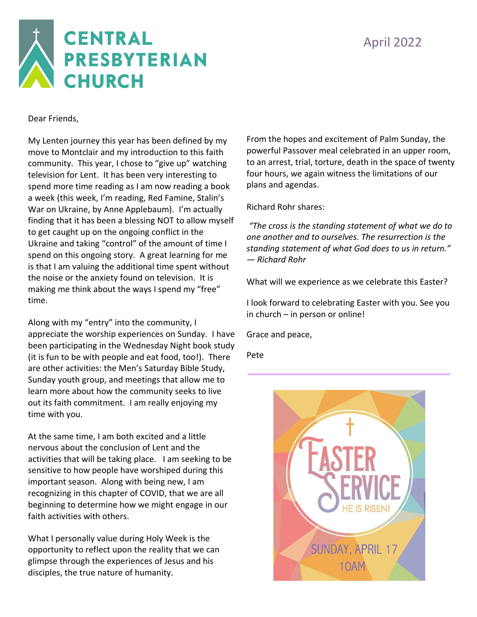

Dear Friends,

My Lenten journey this year has been defined by my move to Montclair and my introduction to this faith community. This year, I chose to "give up" watching television for Lent. It has been very interesting to spend more time reading as I am now reading a book a week (this week, I'm reading, Red Famine, Stalin's War on Ukraine, by Anne Applebaum). I'm actually finding that it has been a blessing NOT to allow myself to get caught up on the ongoing conflict in the Ukraine and taking "control" of the amount of time I spend on this ongoing story. A great learning for me is that I am valuing the additional time spent without the noise or the anxiety found on television. It is making me think about the ways I spend my "free" time.

Along with my "entry" into the community, I appreciate the worship experiences on Sunday. I have been participating in the Wednesday Night book study (it is fun to be with people and eat food, too!). There are other activities: the Men's Saturday Bible Study, Sunday youth group, and meetings that allow me to learn more about how the community seeks to live out its faith commitment. I am really enjoying my time with you.

At the same time, I am both excited and a little nervous about the conclusion of Lent and the activities that will be taking place. I am seeking to be sensitive to how people have worshiped during this important season. Along with being new, I am recognizing in this chapter of COVID, that we are all beginning to determine how we might engage in our faith activities with others.

What I personally value during Holy Week is the opportunity to reflect upon the reality that we can glimpse through the experiences of Jesus and his disciples, the true nature of humanity.

From the hopes and excitement of Palm Sunday, the powerful Passover meal celebrated in an upper room, to an arrest, trial, torture, death in the space of twenty four hours, we again witness the limitations of our plans and agendas.

Richard Rohr shares:

*"The cross is the standing statement of what we do to one another and to ourselves. The resurrection is the standing statement of what God does to us in return." — Richard Rohr*

What will we experience as we celebrate this Easter?

I look forward to celebrating Easter with you. See you in church – in person or online!

Grace and peace,

Pete

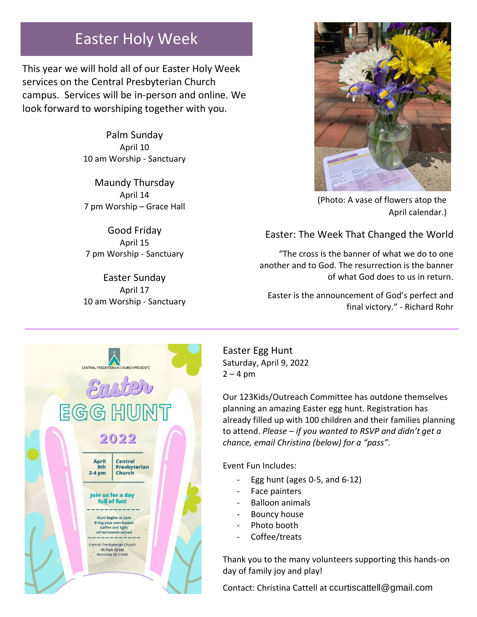### Easter Holy Week

This year we will hold all of our Easter Holy Week services on the Central Presbyterian Church campus. Services will be in-person and online. We look forward to worshiping together with you.

> Palm Sunday April 10 10 am Worship - Sanctuary

> Maundy Thursday April 14 7 pm Worship – Grace Hall

Good Friday April 15 7 pm Worship - Sanctuary

Easter Sunday April 17 10 am Worship - Sanctuary



(Photo: A vase of flowers atop the April calendar.)

#### Easter: The Week That Changed the World

"The cross is the banner of what we do to one another and to God. The resurrection is the banner of what God does to us in return.

Easter is the announcement of God's perfect and final victory." - Richard Rohr



Easter Egg Hunt Saturday, April 9, 2022  $2 - 4$  pm

Our 123Kids/Outreach Committee has outdone themselves planning an amazing Easter egg hunt. Registration has already filled up with 100 children and their families planning to attend. *Please – if you wanted to RSVP and didn't get a chance, email Christina (below) for a "pass".*

Event Fun Includes:

- Egg hunt (ages  $0-5$ , and  $6-12$ )
- Face painters
- Balloon animals
- Bouncy house
- Photo booth
- Coffee/treats

Thank you to the many volunteers supporting this hands-on day of family joy and play!

Contact: Christina Cattell at [ccurtiscattell@gmail.com](mailto:ccurtiscattell@gmail.com)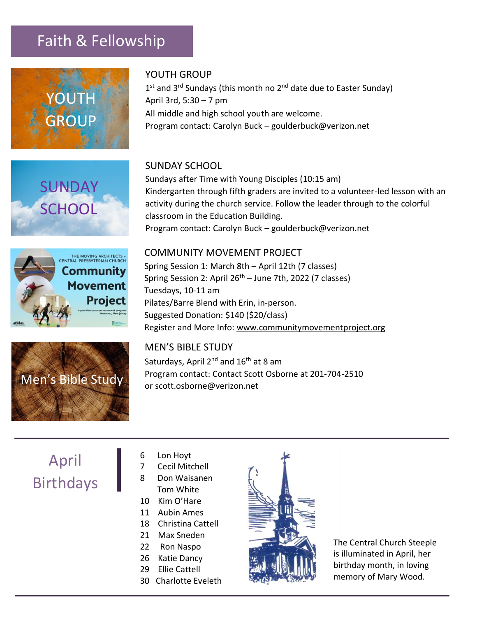### Faith & Fellowship



**SUNDAY** 

**SCHOOL** 

#### YOUTH GROUP

1<sup>st</sup> and 3<sup>rd</sup> Sundays (this month no 2<sup>nd</sup> date due to Easter Sunday) April 3rd, 5:30 – 7 pm All middle and high school youth are welcome. Program contact: Carolyn Buck – goulderbuck@verizon.net

#### SUNDAY SCHOOL

Sundays after Time with Young Disciples (10:15 am) Kindergarten through fifth graders are invited to a volunteer-led lesson with an activity during the church service. Follow the leader through to the colorful classroom in the Education Building. Program contact: Carolyn Buck – goulderbuck@verizon.net





#### COMMUNITY MOVEMENT PROJECT

Spring Session 1: March 8th – April 12th (7 classes) Spring Session 2: April  $26<sup>th</sup>$  – June 7th, 2022 (7 classes) Tuesdays, 10-11 am Pilates/Barre Blend with Erin, in-person. Suggested Donation: \$140 (\$20/class) Register and More Info: [www.communitymovementproject.org](http://www.communitymovementproject.org/)

#### MEN'S BIBLE STUDY

Saturdays, April 2<sup>nd</sup> and 16<sup>th</sup> at 8 am Program contact: Contact Scott Osborne at 201-704-2510 or [scott.osborne@verizon.net](mailto:scott.osborne@verizon.net)

## April Birthdays

- 6 Lon Hoyt
- 7 Cecil Mitchell
- 8 Don Waisanen Tom White
- 10 Kim O'Hare
- 11 Aubin Ames
- 18 Christina Cattell
- 21 Max Sneden
- 22 Ron Naspo
- 26 Katie Dancy
- 29 Ellie Cattell
- 30 Charlotte Eveleth



The Central Church Steeple is illuminated in April, her birthday month, in loving memory of Mary Wood.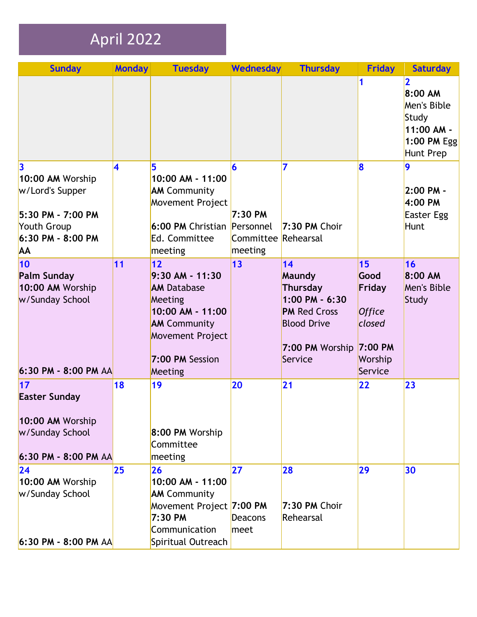# April 2022

| <b>Sunday</b>                                                                                                          | <b>Monday</b>           | <b>Tuesday</b>                                                                                                                                               | Wednesday                                      | <b>Thursday</b>                                                                                                           | <b>Friday</b>                                                                              | <b>Saturday</b>                                                                          |
|------------------------------------------------------------------------------------------------------------------------|-------------------------|--------------------------------------------------------------------------------------------------------------------------------------------------------------|------------------------------------------------|---------------------------------------------------------------------------------------------------------------------------|--------------------------------------------------------------------------------------------|------------------------------------------------------------------------------------------|
|                                                                                                                        |                         |                                                                                                                                                              |                                                |                                                                                                                           | 1                                                                                          | $\mathbf 2$<br>8:00 AM<br>Men's Bible<br>Study<br>11:00 AM -<br>1:00 PM Egg<br>Hunt Prep |
| $\vert$ 3<br>10:00 AM Worship<br>w/Lord's Supper<br>5:30 PM - 7:00 PM<br>Youth Group<br>6:30 PM - 8:00 PM<br><b>AA</b> | $\overline{\mathbf{4}}$ | 5<br>10:00 AM - 11:00<br><b>AM Community</b><br>Movement Project<br>6:00 PM Christian Personnel<br>Ed. Committee<br>meeting                                  | 6<br>$7:30 \text{ PM}$<br>Committee<br>meeting | 7<br>7:30 PM Choir<br>Rehearsal                                                                                           | 8                                                                                          | $\overline{9}$<br>$2:00$ PM -<br>4:00 PM<br>Easter Egg<br><b>Hunt</b>                    |
| 10<br><b>Palm Sunday</b><br>10:00 AM Worship<br>w/Sunday School<br>6:30 PM - 8:00 PM AA                                | 11                      | 12<br>$9:30$ AM - 11:30<br><b>AM Database</b><br>Meeting<br>10:00 AM - 11:00<br><b>AM Community</b><br><b>Movement Project</b><br>7:00 PM Session<br>Meeting | $\vert$ 13                                     | 14<br>Maundy<br>Thursday<br>$1:00$ PM - $6:30$<br><b>PM Red Cross</b><br><b>Blood Drive</b><br>7:00 PM Worship<br>Service | 15<br>Good<br>Friday<br><b>Office</b><br>closed<br>$7:00 \text{ PM}$<br>Worship<br>Service | 16<br>8:00 AM<br>Men's Bible<br>Study                                                    |
| $\overline{17}$<br><b>Easter Sunday</b><br>10:00 AM Worship<br>w/Sunday School<br>6:30 PM - 8:00 PM AA                 | 18                      | 19<br>8:00 PM Worship<br>Committee<br>meeting                                                                                                                | 20                                             | 21                                                                                                                        | 22                                                                                         | 23                                                                                       |
| 24<br>10:00 AM Worship<br>w/Sunday School<br>6:30 PM - 8:00 PM AA                                                      | 25                      | 26<br>10:00 AM - 11:00<br><b>AM Community</b><br>Movement Project 7:00 PM<br>7:30 PM<br>Communication<br>Spiritual Outreach                                  | 27<br><b>Deacons</b><br>meet                   | 28<br>7:30 PM Choir<br>Rehearsal                                                                                          | 29                                                                                         | 30                                                                                       |